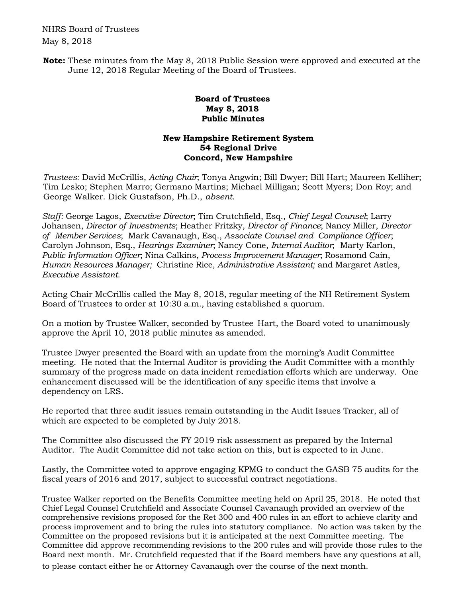NHRS Board of Trustees May 8, 2018

**Note:** These minutes from the May 8, 2018 Public Session were approved and executed at the June 12, 2018 Regular Meeting of the Board of Trustees.

## **Board of Trustees May 8, 2018 Public Minutes**

## **New Hampshire Retirement System 54 Regional Drive Concord, New Hampshire**

*Trustees:* David McCrillis, *Acting Chair*; Tonya Angwin; Bill Dwyer; Bill Hart; Maureen Kelliher; Tim Lesko; Stephen Marro; Germano Martins; Michael Milligan; Scott Myers; Don Roy; and George Walker. Dick Gustafson, Ph.D., *absent*.

*Staff:* George Lagos, *Executive Director*; Tim Crutchfield, Esq., *Chief Legal Counsel*; Larry Johansen, *Director of Investments*; Heather Fritzky, *Director of Finance*; Nancy Miller, *Director of Member Services*; Mark Cavanaugh, Esq., *Associate Counsel and Compliance Officer*; Carolyn Johnson, Esq., *Hearings Examiner*; Nancy Cone, *Internal Auditor*; Marty Karlon, *Public Information Officer*; Nina Calkins, *Process Improvement Manager*; Rosamond Cain, *Human Resources Manager;* Christine Rice, *Administrative Assistant;* and Margaret Astles, *Executive Assistant*.

Acting Chair McCrillis called the May 8, 2018, regular meeting of the NH Retirement System Board of Trustees to order at 10:30 a.m., having established a quorum.

On a motion by Trustee Walker, seconded by Trustee Hart, the Board voted to unanimously approve the April 10, 2018 public minutes as amended.

Trustee Dwyer presented the Board with an update from the morning's Audit Committee meeting. He noted that the Internal Auditor is providing the Audit Committee with a monthly summary of the progress made on data incident remediation efforts which are underway. One enhancement discussed will be the identification of any specific items that involve a dependency on LRS.

He reported that three audit issues remain outstanding in the Audit Issues Tracker, all of which are expected to be completed by July 2018.

The Committee also discussed the FY 2019 risk assessment as prepared by the Internal Auditor. The Audit Committee did not take action on this, but is expected to in June.

Lastly, the Committee voted to approve engaging KPMG to conduct the GASB 75 audits for the fiscal years of 2016 and 2017, subject to successful contract negotiations.

Trustee Walker reported on the Benefits Committee meeting held on April 25, 2018. He noted that Chief Legal Counsel Crutchfield and Associate Counsel Cavanaugh provided an overview of the comprehensive revisions proposed for the Ret 300 and 400 rules in an effort to achieve clarity and process improvement and to bring the rules into statutory compliance. No action was taken by the Committee on the proposed revisions but it is anticipated at the next Committee meeting. The Committee did approve recommending revisions to the 200 rules and will provide those rules to the Board next month. Mr. Crutchfield requested that if the Board members have any questions at all, to please contact either he or Attorney Cavanaugh over the course of the next month.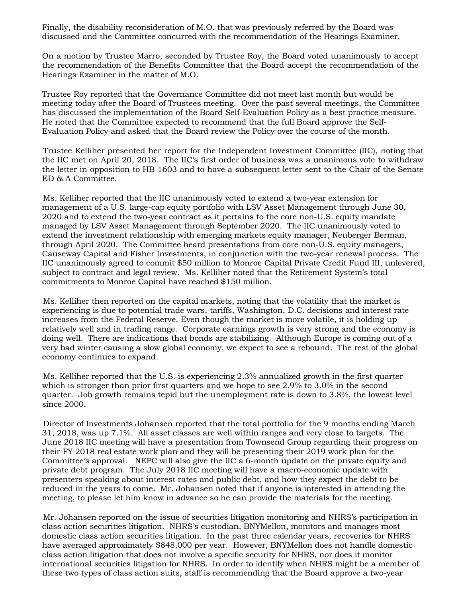Finally, the disability reconsideration of M.O. that was previously referred by the Board was discussed and the Committee concurred with the recommendation of the Hearings Examiner.

On a motion by Trustee Marro, seconded by Trustee Roy, the Board voted unanimously to accept the recommendation of the Benefits Committee that the Board accept the recommendation of the Hearings Examiner in the matter of M.O.

Trustee Roy reported that the Governance Committee did not meet last month but would be meeting today after the Board of Trustees meeting. Over the past several meetings, the Committee has discussed the implementation of the Board Self-Evaluation Policy as a best practice measure. He noted that the Committee expected to recommend that the full Board approve the Self-Evaluation Policy and asked that the Board review the Policy over the course of the month.

Trustee Kelliher presented her report for the Independent Investment Committee (IIC), noting that the IIC met on April 20, 2018. The IIC's first order of business was a unanimous vote to withdraw the letter in opposition to HB 1603 and to have a subsequent letter sent to the Chair of the Senate ED & A Committee.

Ms. Kelliher reported that the IIC unanimously voted to extend a two-year extension for management of a U.S. large-cap equity portfolio with LSV Asset Management through June 30, 2020 and to extend the two-year contract as it pertains to the core non-U.S. equity mandate managed by LSV Asset Management through September 2020. The IIC unanimously voted to extend the investment relationship with emerging markets equity manager, Neuberger Berman, through April 2020. The Committee heard presentations from core non-U.S. equity managers, Causeway Capital and Fisher Investments, in conjunction with the two-year renewal process. The IIC unanimously agreed to commit \$50 million to Monroe Capital Private Credit Fund III, unlevered, subject to contract and legal review. Ms. Kelliher noted that the Retirement System's total commitments to Monroe Capital have reached \$150 million.

Ms. Kelliher then reported on the capital markets, noting that the volatility that the market is experiencing is due to potential trade wars, tariffs, Washington, D.C. decisions and interest rate increases from the Federal Reserve. Even though the market is more volatile, it is holding up relatively well and in trading range. Corporate earnings growth is very strong and the economy is doing well. There are indications that bonds are stabilizing. Although Europe is coming out of a very bad winter causing a slow global economy, we expect to see a rebound. The rest of the global economy continues to expand.

Ms. Kelliher reported that the U.S. is experiencing 2.3% annualized growth in the first quarter which is stronger than prior first quarters and we hope to see 2.9% to 3.0% in the second quarter. Job growth remains tepid but the unemployment rate is down to 3.8%, the lowest level since 2000.

Director of Investments Johansen reported that the total portfolio for the 9 months ending March 31, 2018, was up 7.1%. All asset classes are well within ranges and very close to targets. The June 2018 IIC meeting will have a presentation from Townsend Group regarding their progress on their FY 2018 real estate work plan and they will be presenting their 2019 work plan for the Committee's approval. NEPC will also give the IIC a 6-month update on the private equity and private debt program. The July 2018 IIC meeting will have a macro-economic update with presenters speaking about interest rates and public debt, and how they expect the debt to be reduced in the years to come. Mr. Johansen noted that if anyone is interested in attending the meeting, to please let him know in advance so he can provide the materials for the meeting.

Mr. Johansen reported on the issue of securities litigation monitoring and NHRS's participation in class action securities litigation. NHRS's custodian, BNYMellon, monitors and manages most domestic class action securities litigation. In the past three calendar years, recoveries for NHRS have averaged approximately \$848,000 per year. However, BNYMellon does not handle domestic class action litigation that does not involve a specific security for NHRS, nor does it monitor international securities litigation for NHRS. In order to identify when NHRS might be a member of these two types of class action suits, staff is recommending that the Board approve a two-year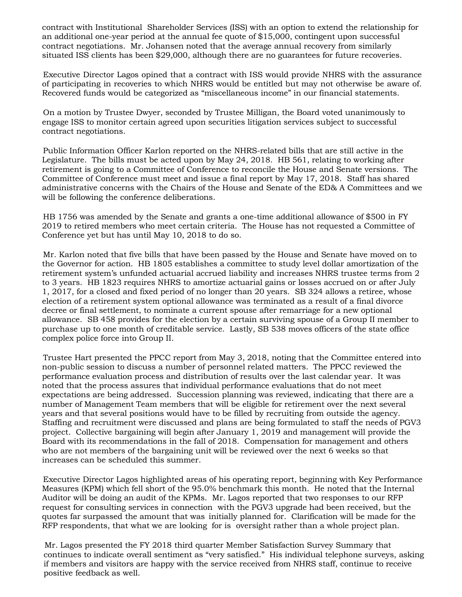contract with Institutional Shareholder Services (ISS) with an option to extend the relationship for an additional one-year period at the annual fee quote of \$15,000, contingent upon successful contract negotiations. Mr. Johansen noted that the average annual recovery from similarly situated ISS clients has been \$29,000, although there are no guarantees for future recoveries.

Executive Director Lagos opined that a contract with ISS would provide NHRS with the assurance of participating in recoveries to which NHRS would be entitled but may not otherwise be aware of. Recovered funds would be categorized as "miscellaneous income" in our financial statements.

On a motion by Trustee Dwyer, seconded by Trustee Milligan, the Board voted unanimously to engage ISS to monitor certain agreed upon securities litigation services subject to successful contract negotiations.

Public Information Officer Karlon reported on the NHRS-related bills that are still active in the Legislature. The bills must be acted upon by May 24, 2018. HB 561, relating to working after retirement is going to a Committee of Conference to reconcile the House and Senate versions. The Committee of Conference must meet and issue a final report by May 17, 2018. Staff has shared administrative concerns with the Chairs of the House and Senate of the ED& A Committees and we will be following the conference deliberations.

HB 1756 was amended by the Senate and grants a one-time additional allowance of \$500 in FY 2019 to retired members who meet certain criteria. The House has not requested a Committee of Conference yet but has until May 10, 2018 to do so.

Mr. Karlon noted that five bills that have been passed by the House and Senate have moved on to the Governor for action. HB 1805 establishes a committee to study level dollar amortization of the retirement system's unfunded actuarial accrued liability and increases NHRS trustee terms from 2 to 3 years. HB 1823 requires NHRS to amortize actuarial gains or losses accrued on or after July 1, 2017, for a closed and fixed period of no longer than 20 years. SB 324 allows a retiree, whose election of a retirement system optional allowance was terminated as a result of a final divorce decree or final settlement, to nominate a current spouse after remarriage for a new optional allowance. SB 458 provides for the election by a certain surviving spouse of a Group II member to purchase up to one month of creditable service. Lastly, SB 538 moves officers of the state office complex police force into Group II.

Trustee Hart presented the PPCC report from May 3, 2018, noting that the Committee entered into non-public session to discuss a number of personnel related matters. The PPCC reviewed the performance evaluation process and distribution of results over the last calendar year. It was noted that the process assures that individual performance evaluations that do not meet expectations are being addressed. Succession planning was reviewed, indicating that there are a number of Management Team members that will be eligible for retirement over the next several years and that several positions would have to be filled by recruiting from outside the agency. Staffing and recruitment were discussed and plans are being formulated to staff the needs of PGV3 project. Collective bargaining will begin after January 1, 2019 and management will provide the Board with its recommendations in the fall of 2018. Compensation for management and others who are not members of the bargaining unit will be reviewed over the next 6 weeks so that increases can be scheduled this summer.

Executive Director Lagos highlighted areas of his operating report, beginning with Key Performance Measures (KPM) which fell short of the 95.0% benchmark this month. He noted that the Internal Auditor will be doing an audit of the KPMs. Mr. Lagos reported that two responses to our RFP request for consulting services in connection with the PGV3 upgrade had been received, but the quotes far surpassed the amount that was initially planned for. Clarification will be made for the RFP respondents, that what we are looking for is oversight rather than a whole project plan.

Mr. Lagos presented the FY 2018 third quarter Member Satisfaction Survey Summary that continues to indicate overall sentiment as "very satisfied." His individual telephone surveys, asking if members and visitors are happy with the service received from NHRS staff, continue to receive positive feedback as well.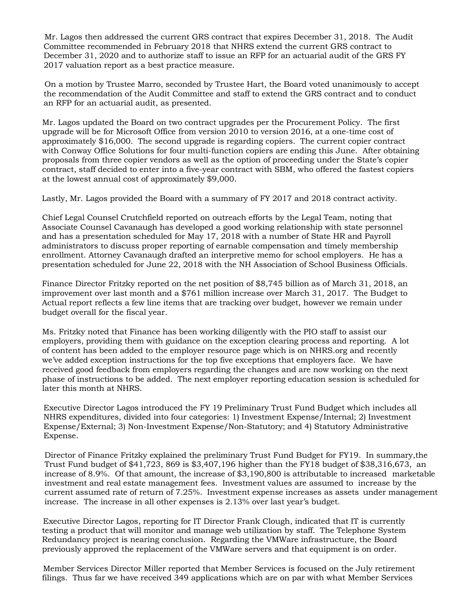Mr. Lagos then addressed the current GRS contract that expires December 31, 2018. The Audit Committee recommended in February 2018 that NHRS extend the current GRS contract to December 31, 2020 and to authorize staff to issue an RFP for an actuarial audit of the GRS FY 2017 valuation report as a best practice measure.

On a motion by Trustee Marro, seconded by Trustee Hart, the Board voted unanimously to accept the recommendation of the Audit Committee and staff to extend the GRS contract and to conduct an RFP for an actuarial audit, as presented.

Mr. Lagos updated the Board on two contract upgrades per the Procurement Policy. The first upgrade will be for Microsoft Office from version 2010 to version 2016, at a one-time cost of approximately \$16,000. The second upgrade is regarding copiers. The current copier contract with Conway Office Solutions for four multi-function copiers are ending this June. After obtaining proposals from three copier vendors as well as the option of proceeding under the State's copier contract, staff decided to enter into a five-year contract with SBM, who offered the fastest copiers at the lowest annual cost of approximately \$9,000.

Lastly, Mr. Lagos provided the Board with a summary of FY 2017 and 2018 contract activity.

Chief Legal Counsel Crutchfield reported on outreach efforts by the Legal Team, noting that Associate Counsel Cavanaugh has developed a good working relationship with state personnel and has a presentation scheduled for May 17, 2018 with a number of State HR and Payroll administrators to discuss proper reporting of earnable compensation and timely membership enrollment. Attorney Cavanaugh drafted an interpretive memo for school employers. He has a presentation scheduled for June 22, 2018 with the NH Association of School Business Officials.

Finance Director Fritzky reported on the net position of \$8,745 billion as of March 31, 2018, an improvement over last month and a \$761 million increase over March 31, 2017. The Budget to Actual report reflects a few line items that are tracking over budget, however we remain under budget overall for the fiscal year.

Ms. Fritzky noted that Finance has been working diligently with the PIO staff to assist our employers, providing them with guidance on the exception clearing process and reporting. A lot of content has been added to the employer resource page which is on NHRS.org and recently we've added exception instructions for the top five exceptions that employers face. We have received good feedback from employers regarding the changes and are now working on the next phase of instructions to be added. The next employer reporting education session is scheduled for later this month at NHRS.

Executive Director Lagos introduced the FY 19 Preliminary Trust Fund Budget which includes all NHRS expenditures, divided into four categories: 1) Investment Expense/Internal; 2) Investment Expense/External; 3) Non-Investment Expense/Non-Statutory; and 4) Statutory Administrative Expense.

Director of Finance Fritzky explained the preliminary Trust Fund Budget for FY19. In summary,the Trust Fund budget of \$41,723, 869 is \$3,407,196 higher than the FY18 budget of \$38,316,673, an increase of 8.9%. Of that amount, the increase of \$3,190,800 is attributable to increased marketable investment and real estate management fees. Investment values are assumed to increase by the current assumed rate of return of 7.25%. Investment expense increases as assets under management increase. The increase in all other expenses is 2.13% over last year's budget.

Executive Director Lagos, reporting for IT Director Frank Clough, indicated that IT is currently testing a product that will monitor and manage web utilization by staff. The Telephone System Redundancy project is nearing conclusion. Regarding the VMWare infrastructure, the Board previously approved the replacement of the VMWare servers and that equipment is on order.

Member Services Director Miller reported that Member Services is focused on the July retirement filings. Thus far we have received 349 applications which are on par with what Member Services